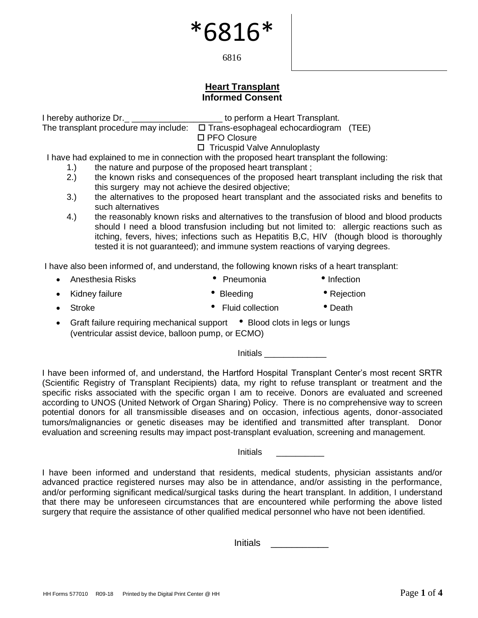6816

#### **Heart Transplant Informed Consent**

I hereby authorize Dr.\_ \_\_\_\_\_\_\_\_\_\_\_\_\_\_\_\_\_\_\_ to perform a Heart Transplant.

The transplant procedure may include:  $\square$  Trans-esophageal echocardiogram (TEE)

□ PFO Closure

□ Tricuspid Valve Annuloplasty

I have had explained to me in connection with the proposed heart transplant the following:

- 1.) the nature and purpose of the proposed heart transplant ;
- 2.) the known risks and consequences of the proposed heart transplant including the risk that this surgery may not achieve the desired objective;
- 3.) the alternatives to the proposed heart transplant and the associated risks and benefits to such alternatives
- 4.) the reasonably known risks and alternatives to the transfusion of blood and blood products should I need a blood transfusion including but not limited to: allergic reactions such as itching, fevers, hives; infections such as Hepatitis B,C, HIV (though blood is thoroughly tested it is not guaranteed); and immune system reactions of varying degrees.

I have also been informed of, and understand, the following known risks of a heart transplant:

- Anesthesia Risks Pneumonia Infection
- Kidney failure  **Bleeding Prejection**
- Stroke **Fluid collection Plant**
- Graft failure requiring mechanical support Blood clots in legs or lungs (ventricular assist device, balloon pump, or ECMO)

Initials \_\_\_\_\_\_\_\_\_\_\_\_\_

I have been informed of, and understand, the Hartford Hospital Transplant Center's most recent SRTR (Scientific Registry of Transplant Recipients) data, my right to refuse transplant or treatment and the specific risks associated with the specific organ I am to receive. Donors are evaluated and screened according to UNOS (United Network of Organ Sharing) Policy. There is no comprehensive way to screen potential donors for all transmissible diseases and on occasion, infectious agents, donor-associated tumors/malignancies or genetic diseases may be identified and transmitted after transplant. Donor evaluation and screening results may impact post-transplant evaluation, screening and management.

Initials \_\_\_\_\_\_\_\_\_\_

I have been informed and understand that residents, medical students, physician assistants and/or advanced practice registered nurses may also be in attendance, and/or assisting in the performance, and/or performing significant medical/surgical tasks during the heart transplant. In addition, I understand that there may be unforeseen circumstances that are encountered while performing the above listed surgery that require the assistance of other qualified medical personnel who have not been identified.

Initials \_\_\_\_\_\_\_\_\_\_\_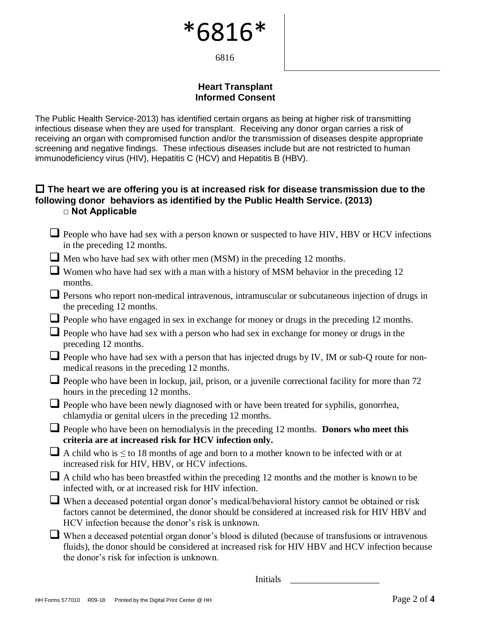6816

#### **Heart Transplant Informed Consent**

The Public Health Service-2013) has identified certain organs as being at higher risk of transmitting infectious disease when they are used for transplant. Receiving any donor organ carries a risk of receiving an organ with compromised function and/or the transmission of diseases despite appropriate screening and negative findings. These infectious diseases include but are not restricted to human immunodeficiency virus (HIV), Hepatitis C (HCV) and Hepatitis B (HBV).

#### **The heart we are offering you is at increased risk for disease transmission due to the following donor behaviors as identified by the Public Health Service. (2013) □ Not Applicable**

- $\Box$  People who have had sex with a person known or suspected to have HIV, HBV or HCV infections in the preceding 12 months.
- Men who have had sex with other men (MSM) in the preceding 12 months.
- Women who have had sex with a man with a history of MSM behavior in the preceding 12 months.
- □ Persons who report non-medical intravenous, intramuscular or subcutaneous injection of drugs in the preceding 12 months.
- □ People who have engaged in sex in exchange for money or drugs in the preceding 12 months.
- □ People who have had sex with a person who had sex in exchange for money or drugs in the preceding 12 months.
- People who have had sex with a person that has injected drugs by IV, IM or sub-Q route for nonmedical reasons in the preceding 12 months.
- □ People who have been in lockup, jail, prison, or a juvenile correctional facility for more than 72 hours in the preceding 12 months.
- □ People who have been newly diagnosed with or have been treated for syphilis, gonorrhea, chlamydia or genital ulcers in the preceding 12 months.
- ❑ People who have been on hemodialysis in the preceding 12 months. **Donors who meet this criteria are at increased risk for HCV infection only.**
- $\Box$  A child who is  $\leq$  to 18 months of age and born to a mother known to be infected with or at increased risk for HIV, HBV, or HCV infections.
- ❑ A child who has been breastfed within the preceding 12 months and the mother is known to be infected with, or at increased risk for HIV infection.
- ❑ When a deceased potential organ donor's medical/behavioral history cannot be obtained or risk factors cannot be determined, the donor should be considered at increased risk for HIV HBV and HCV infection because the donor's risk is unknown.
- When a deceased potential organ donor's blood is diluted (because of transfusions or intravenous fluids), the donor should be considered at increased risk for HIV HBV and HCV infection because the donor's risk for infection is unknown.

Initials  $\Box$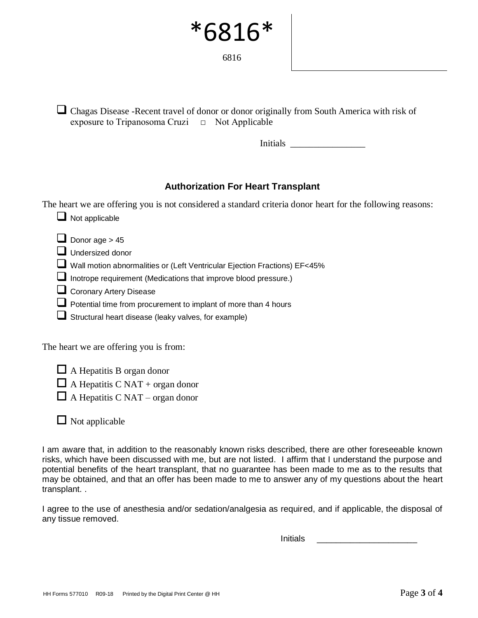6816

■ Chagas Disease -Recent travel of donor or donor originally from South America with risk of exposure to Tripanosoma Cruzi  $\Box$  Not Applicable

Initials  $\Box$ 

#### **Authorization For Heart Transplant**

The heart we are offering you is not considered a standard criteria donor heart for the following reasons:

- $\Box$  Not applicable
- $\Box$  Donor age > 45
- ❑ Undersized donor
- ❑ Wall motion abnormalities or (Left Ventricular Ejection Fractions) EF<45%
- □ Inotrope requirement (Medications that improve blood pressure.)
- Coronary Artery Disease
- Potential time from procurement to implant of more than 4 hours
- $\Box$  Structural heart disease (leaky valves, for example)

The heart we are offering you is from:

 $\Box$  A Hepatitis B organ donor  $\Box$  A Hepatitis C NAT + organ donor  $\Box$  A Hepatitis C NAT – organ donor

 $\Box$  Not applicable

I am aware that, in addition to the reasonably known risks described, there are other foreseeable known risks, which have been discussed with me, but are not listed. I affirm that I understand the purpose and potential benefits of the heart transplant, that no guarantee has been made to me as to the results that may be obtained, and that an offer has been made to me to answer any of my questions about the heart transplant. .

I agree to the use of anesthesia and/or sedation/analgesia as required, and if applicable, the disposal of any tissue removed.

Initials \_\_\_\_\_\_\_\_\_\_\_\_\_\_\_\_\_\_\_\_\_